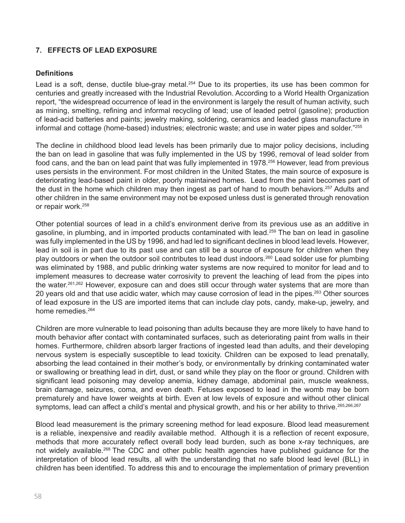# **7. EFFECTS OF LEAD EXPOSURE**

#### **Definitions**

Lead is a soft, dense, ductile blue-gray metal.<sup>254</sup> Due to its properties, its use has been common for centuries and greatly increased with the Industrial Revolution. According to a World Health Organization report, "the widespread occurrence of lead in the environment is largely the result of human activity, such as mining, smelting, refining and informal recycling of lead; use of leaded petrol (gasoline); production of lead-acid batteries and paints; jewelry making, soldering, ceramics and leaded glass manufacture in informal and cottage (home-based) industries; electronic waste; and use in water pipes and solder."255

The decline in childhood blood lead levels has been primarily due to major policy decisions, including the ban on lead in gasoline that was fully implemented in the US by 1996, removal of lead solder from food cans, and the ban on lead paint that was fully implemented in 1978.256 However, lead from previous uses persists in the environment. For most children in the United States, the main source of exposure is deteriorating lead-based paint in older, poorly maintained homes. Lead from the paint becomes part of the dust in the home which children may then ingest as part of hand to mouth behaviors.<sup>257</sup> Adults and other children in the same environment may not be exposed unless dust is generated through renovation or repair work.<sup>258</sup>

Other potential sources of lead in a child's environment derive from its previous use as an additive in gasoline, in plumbing, and in imported products contaminated with lead.<sup>259</sup> The ban on lead in gasoline was fully implemented in the US by 1996, and had led to significant declines in blood lead levels. However, lead in soil is in part due to its past use and can still be a source of exposure for children when they play outdoors or when the outdoor soil contributes to lead dust indoors.260 Lead solder use for plumbing was eliminated by 1988, and public drinking water systems are now required to monitor for lead and to implement measures to decrease water corrosivity to prevent the leaching of lead from the pipes into the water.<sup>261,262</sup> However, exposure can and does still occur through water systems that are more than 20 years old and that use acidic water, which may cause corrosion of lead in the pipes.263 Other sources of lead exposure in the US are imported items that can include clay pots, candy, make-up, jewelry, and home remedies<sup>264</sup>

Children are more vulnerable to lead poisoning than adults because they are more likely to have hand to mouth behavior after contact with contaminated surfaces, such as deteriorating paint from walls in their homes. Furthermore, children absorb larger fractions of ingested lead than adults, and their developing nervous system is especially susceptible to lead toxicity. Children can be exposed to lead prenatally, absorbing the lead contained in their mother's body, or environmentally by drinking contaminated water or swallowing or breathing lead in dirt, dust, or sand while they play on the floor or ground. Children with significant lead poisoning may develop anemia, kidney damage, abdominal pain, muscle weakness, brain damage, seizures, coma, and even death. Fetuses exposed to lead in the womb may be born prematurely and have lower weights at birth. Even at low levels of exposure and without other clinical symptoms, lead can affect a child's mental and physical growth, and his or her ability to thrive. 265,266,267

Blood lead measurement is the primary screening method for lead exposure. Blood lead measurement is a reliable, inexpensive and readily available method. Although it is a reflection of recent exposure, methods that more accurately reflect overall body lead burden, such as bone x-ray techniques, are not widely available.<sup>268</sup> The CDC and other public health agencies have published guidance for the interpretation of blood lead results, all with the understanding that no safe blood lead level (BLL) in children has been identified. To address this and to encourage the implementation of primary prevention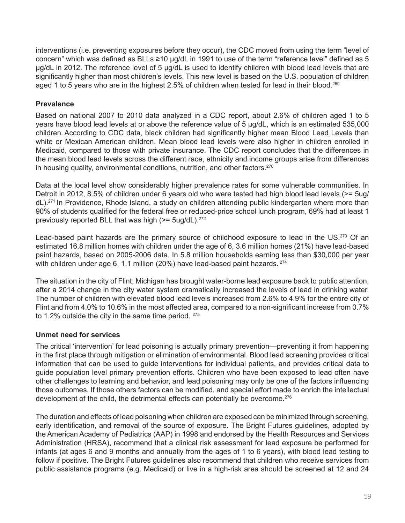interventions (i.e. preventing exposures before they occur), the CDC moved from using the term "level of concern" which was defined as BLLs ≥10 µg/dL in 1991 to use of the term "reference level" defined as 5 µg/dL in 2012. The reference level of 5 µg/dL is used to identify children with blood lead levels that are significantly higher than most children's levels. This new level is based on the U.S. population of children aged 1 to 5 years who are in the highest 2.5% of children when tested for lead in their blood.<sup>269</sup>

# **Prevalence**

Based on national 2007 to 2010 data analyzed in a CDC report, about 2.6% of children aged 1 to 5 years have blood lead levels at or above the reference value of 5 µg/dL, which is an estimated 535,000 children*.* According to CDC data, black children had significantly higher mean Blood Lead Levels than white or Mexican American children. Mean blood lead levels were also higher in children enrolled in Medicaid, compared to those with private insurance. The CDC report concludes that the differences in the mean blood lead levels across the different race, ethnicity and income groups arise from differences in housing quality, environmental conditions, nutrition, and other factors. $270$ 

Data at the local level show considerably higher prevalence rates for some vulnerable communities. In Detroit in 2012, 8.5% of children under 6 years old who were tested had high blood lead levels (>= 5ug/ dL).<sup>271</sup> In Providence, Rhode Island, a study on children attending public kindergarten where more than 90% of students qualified for the federal free or reduced-price school lunch program, 69% had at least 1 previously reported BLL that was high  $(>= 5\mu q/dL).$ <sup>272</sup>

Lead-based paint hazards are the primary source of childhood exposure to lead in the US.<sup>273</sup> Of an estimated 16.8 million homes with children under the age of 6, 3.6 million homes (21%) have lead-based paint hazards, based on 2005-2006 data. In 5.8 million households earning less than \$30,000 per year with children under age 6, 1.1 million (20%) have lead-based paint hazards. <sup>274</sup>

The situation in the city of Flint, Michigan has brought water-borne lead exposure back to public attention, after a 2014 change in the city water system dramatically increased the levels of lead in drinking water. The number of children with elevated blood lead levels increased from 2.6% to 4.9% for the entire city of Flint and from 4.0% to 10.6% in the most affected area, compared to a non-significant increase from 0.7% to 1.2% outside the city in the same time period. 275

# **Unmet need for services**

The critical 'intervention' for lead poisoning is actually primary prevention—preventing it from happening in the first place through mitigation or elimination of environmental. Blood lead screening provides critical information that can be used to guide interventions for individual patients, and provides critical data to guide population level primary prevention efforts. Children who have been exposed to lead often have other challenges to learning and behavior, and lead poisoning may only be one of the factors influencing those outcomes. If those others factors can be modified, and special effort made to enrich the intellectual development of the child, the detrimental effects can potentially be overcome.<sup>276</sup>

The duration and effects of lead poisoning when children are exposed can be minimized through screening, early identification, and removal of the source of exposure. The Bright Futures guidelines, adopted by the American Academy of Pediatrics (AAP) in 1998 and endorsed by the Health Resources and Services Administration (HRSA), recommend that a clinical risk assessment for lead exposure be performed for infants (at ages 6 and 9 months and annually from the ages of 1 to 6 years), with blood lead testing to follow if positive. The Bright Futures guidelines also recommend that children who receive services from public assistance programs (e.g. Medicaid) or live in a high-risk area should be screened at 12 and 24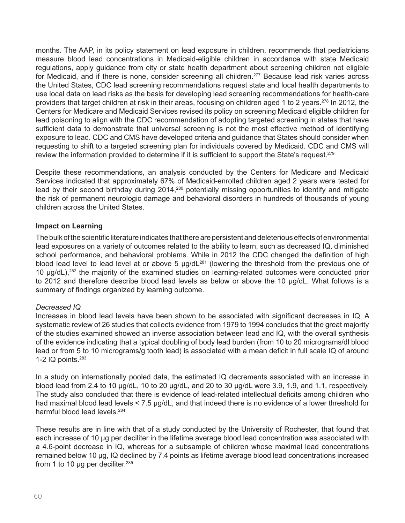months. The AAP, in its policy statement on lead exposure in children, recommends that pediatricians measure blood lead concentrations in Medicaid-eligible children in accordance with state Medicaid regulations, apply guidance from city or state health department about screening children not eligible for Medicaid, and if there is none, consider screening all children.<sup>277</sup> Because lead risk varies across the United States, CDC lead screening recommendations request state and local health departments to use local data on lead risks as the basis for developing lead screening recommendations for health-care providers that target children at risk in their areas, focusing on children aged 1 to 2 years.278 In 2012, the Centers for Medicare and Medicaid Services revised its policy on screening Medicaid eligible children for lead poisoning to align with the CDC recommendation of adopting targeted screening in states that have sufficient data to demonstrate that universal screening is not the most effective method of identifying exposure to lead. CDC and CMS have developed criteria and guidance that States should consider when requesting to shift to a targeted screening plan for individuals covered by Medicaid. CDC and CMS will review the information provided to determine if it is sufficient to support the State's request.<sup>279</sup>

Despite these recommendations, an analysis conducted by the Centers for Medicare and Medicaid Services indicated that approximately 67% of Medicaid-enrolled children aged 2 years were tested for lead by their second birthday during 2014,<sup>280</sup> potentially missing opportunities to identify and mitigate the risk of permanent neurologic damage and behavioral disorders in hundreds of thousands of young children across the United States.

### **Impact on Learning**

The bulk of the scientific literature indicates that there are persistent and deleterious effects of environmental lead exposures on a variety of outcomes related to the ability to learn, such as decreased IQ, diminished school performance, and behavioral problems. While in 2012 the CDC changed the definition of high blood lead level to lead level at or above 5 μg/dL<sup>281</sup> (lowering the threshold from the previous one of 10 μg/dL),282 the majority of the examined studies on learning-related outcomes were conducted prior to 2012 and therefore describe blood lead levels as below or above the 10 μg/dL. What follows is a summary of findings organized by learning outcome.

#### *Decreased IQ*

Increases in blood lead levels have been shown to be associated with significant decreases in IQ. A systematic review of 26 studies that collects evidence from 1979 to 1994 concludes that the great majority of the studies examined showed an inverse association between lead and IQ, with the overall synthesis of the evidence indicating that a typical doubling of body lead burden (from 10 to 20 micrograms/dl blood lead or from 5 to 10 micrograms/g tooth lead) is associated with a mean deficit in full scale IQ of around 1-2 IQ points.283

In a study on internationally pooled data, the estimated IQ decrements associated with an increase in blood lead from 2.4 to 10 μg/dL, 10 to 20 μg/dL, and 20 to 30 μg/dL were 3.9, 1.9, and 1.1, respectively. The study also concluded that there is evidence of lead-related intellectual deficits among children who had maximal blood lead levels < 7.5 μg/dL, and that indeed there is no evidence of a lower threshold for harmful blood lead levels.<sup>284</sup>

These results are in line with that of a study conducted by the University of Rochester, that found that each increase of 10 μg per deciliter in the lifetime average blood lead concentration was associated with a 4.6-point decrease in IQ, whereas for a subsample of children whose maximal lead concentrations remained below 10 μg, IQ declined by 7.4 points as lifetime average blood lead concentrations increased from 1 to 10 μg per deciliter.<sup>285</sup>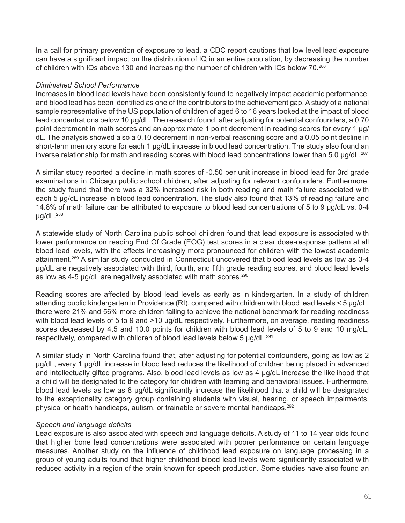In a call for primary prevention of exposure to lead, a CDC report cautions that low level lead exposure can have a significant impact on the distribution of IQ in an entire population, by decreasing the number of children with IQs above 130 and increasing the number of children with IQs below 70.<sup>286</sup>

#### *Diminished School Performance*

Increases in blood lead levels have been consistently found to negatively impact academic performance, and blood lead has been identified as one of the contributors to the achievement gap. A study of a national sample representative of the US population of children of aged 6 to 16 years looked at the impact of blood lead concentrations below 10 μg/dL. The research found, after adjusting for potential confounders, a 0.70 point decrement in math scores and an approximate 1 point decrement in reading scores for every 1 μg/ dL. The analysis showed also a 0.10 decrement in non-verbal reasoning score and a 0.05 point decline in short-term memory score for each 1 µg/dL increase in blood lead concentration. The study also found an inverse relationship for math and reading scores with blood lead concentrations lower than 5.0 μg/dL.<sup>287</sup>

A similar study reported a decline in math scores of -0.50 per unit increase in blood lead for 3rd grade examinations in Chicago public school children, after adjusting for relevant confounders. Furthermore, the study found that there was a 32% increased risk in both reading and math failure associated with each 5 μg/dL increase in blood lead concentration. The study also found that 13% of reading failure and 14.8% of math failure can be attributed to exposure to blood lead concentrations of 5 to 9 μg/dL vs. 0-4 μg/dL.288

A statewide study of North Carolina public school children found that lead exposure is associated with lower performance on reading End Of Grade (EOG) test scores in a clear dose-response pattern at all blood lead levels, with the effects increasingly more pronounced for children with the lowest academic attainment.289 A similar study conducted in Connecticut uncovered that blood lead levels as low as 3-4 μg/dL are negatively associated with third, fourth, and fifth grade reading scores, and blood lead levels as low as 4-5 µg/dL are negatively associated with math scores.<sup>290</sup>

Reading scores are affected by blood lead levels as early as in kindergarten. In a study of children attending public kindergarten in Providence (RI), compared with children with blood lead levels < 5 μg/dL, there were 21% and 56% more children failing to achieve the national benchmark for reading readiness with blood lead levels of 5 to 9 and >10 µg/dL respectively. Furthermore, on average, reading readiness scores decreased by 4.5 and 10.0 points for children with blood lead levels of 5 to 9 and 10 mg/dL, respectively, compared with children of blood lead levels below 5 μg/dL.<sup>291</sup>

A similar study in North Carolina found that, after adjusting for potential confounders, going as low as 2 μg/dL, every 1 μg/dL increase in blood lead reduces the likelihood of children being placed in advanced and intellectually gifted programs. Also, blood lead levels as low as 4 μg/dL increase the likelihood that a child will be designated to the category for children with learning and behavioral issues. Furthermore, blood lead levels as low as 8 μg/dL significantly increase the likelihood that a child will be designated to the exceptionality category group containing students with visual, hearing, or speech impairments, physical or health handicaps, autism, or trainable or severe mental handicaps.<sup>292</sup>

# *Speech and language deficits*

Lead exposure is also associated with speech and language deficits. A study of 11 to 14 year olds found that higher bone lead concentrations were associated with poorer performance on certain language measures. Another study on the influence of childhood lead exposure on language processing in a group of young adults found that higher childhood blood lead levels were significantly associated with reduced activity in a region of the brain known for speech production. Some studies have also found an